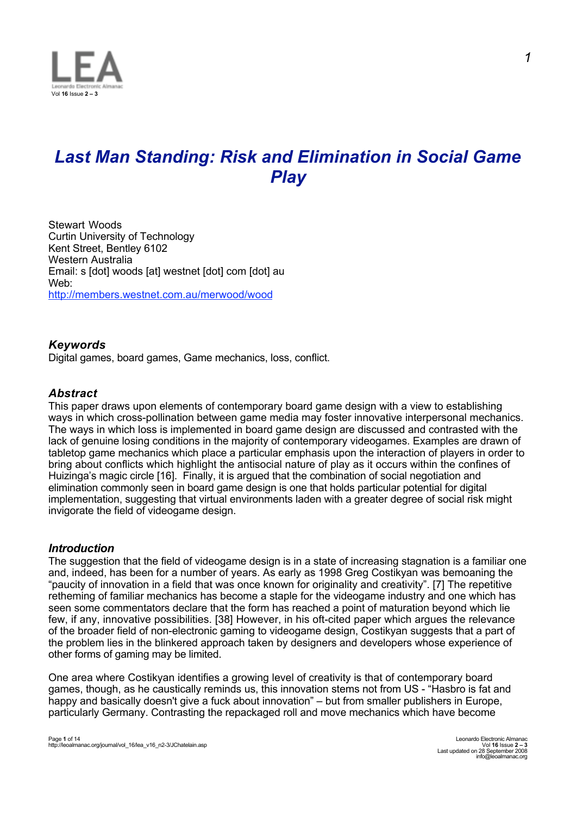

# *Last Man Standing: Risk and Elimination in Social Game Play*

Stewart Woods Curtin University of Technology Kent Street, Bentley 6102 Western Australia Email: s [dot] woods [at] westnet [dot] com [dot] au Web: http://members.westnet.com.au/merwood/wood

# *Keywords*

Digital games, board games, Game mechanics, loss, conflict.

# *Abstract*

This paper draws upon elements of contemporary board game design with a view to establishing ways in which cross-pollination between game media may foster innovative interpersonal mechanics. The ways in which loss is implemented in board game design are discussed and contrasted with the lack of genuine losing conditions in the majority of contemporary videogames. Examples are drawn of tabletop game mechanics which place a particular emphasis upon the interaction of players in order to bring about conflicts which highlight the antisocial nature of play as it occurs within the confines of Huizinga's magic circle [16]. Finally, it is argued that the combination of social negotiation and elimination commonly seen in board game design is one that holds particular potential for digital implementation, suggesting that virtual environments laden with a greater degree of social risk might invigorate the field of videogame design.

# *Introduction*

The suggestion that the field of videogame design is in a state of increasing stagnation is a familiar one and, indeed, has been for a number of years. As early as 1998 Greg Costikyan was bemoaning the "paucity of innovation in a field that was once known for originality and creativity". [7] The repetitive retheming of familiar mechanics has become a staple for the videogame industry and one which has seen some commentators declare that the form has reached a point of maturation beyond which lie few, if any, innovative possibilities. [38] However, in his oft-cited paper which argues the relevance of the broader field of non-electronic gaming to videogame design, Costikyan suggests that a part of the problem lies in the blinkered approach taken by designers and developers whose experience of other forms of gaming may be limited.

One area where Costikyan identifies a growing level of creativity is that of contemporary board games, though, as he caustically reminds us, this innovation stems not from US - "Hasbro is fat and happy and basically doesn't give a fuck about innovation" – but from smaller publishers in Europe, particularly Germany. Contrasting the repackaged roll and move mechanics which have become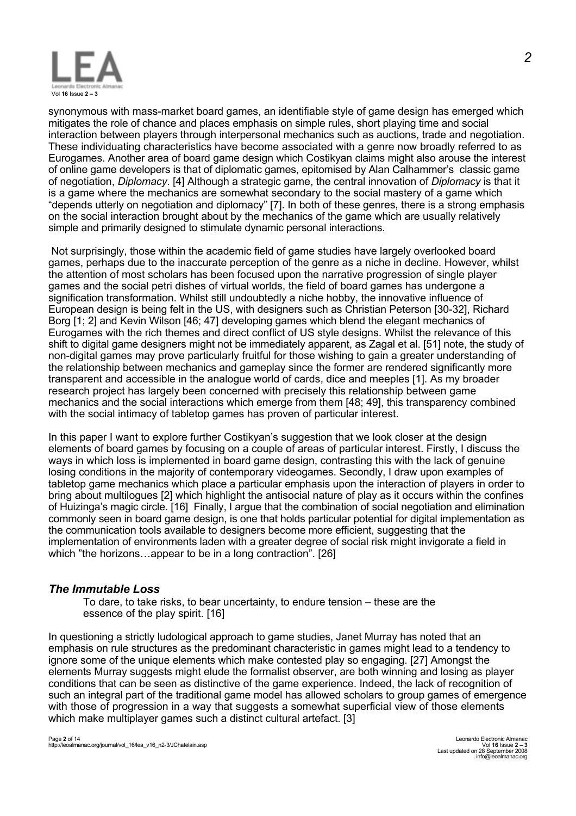

synonymous with mass-market board games, an identifiable style of game design has emerged which mitigates the role of chance and places emphasis on simple rules, short playing time and social interaction between players through interpersonal mechanics such as auctions, trade and negotiation. These individuating characteristics have become associated with a genre now broadly referred to as Eurogames. Another area of board game design which Costikyan claims might also arouse the interest of online game developers is that of diplomatic games, epitomised by Alan Calhammer's classic game of negotiation, *Diplomacy*. [4] Although a strategic game, the central innovation of *Diplomacy* is that it is a game where the mechanics are somewhat secondary to the social mastery of a game which "depends utterly on negotiation and diplomacy" [7]. In both of these genres, there is a strong emphasis on the social interaction brought about by the mechanics of the game which are usually relatively simple and primarily designed to stimulate dynamic personal interactions.

 Not surprisingly, those within the academic field of game studies have largely overlooked board games, perhaps due to the inaccurate perception of the genre as a niche in decline. However, whilst the attention of most scholars has been focused upon the narrative progression of single player games and the social petri dishes of virtual worlds, the field of board games has undergone a signification transformation. Whilst still undoubtedly a niche hobby, the innovative influence of European design is being felt in the US, with designers such as Christian Peterson [30-32], Richard Borg [1; 2] and Kevin Wilson [46; 47] developing games which blend the elegant mechanics of Eurogames with the rich themes and direct conflict of US style designs. Whilst the relevance of this shift to digital game designers might not be immediately apparent, as Zagal et al. [51] note, the study of non-digital games may prove particularly fruitful for those wishing to gain a greater understanding of the relationship between mechanics and gameplay since the former are rendered significantly more transparent and accessible in the analogue world of cards, dice and meeples [1]. As my broader research project has largely been concerned with precisely this relationship between game mechanics and the social interactions which emerge from them [48; 49], this transparency combined with the social intimacy of tabletop games has proven of particular interest.

In this paper I want to explore further Costikyan's suggestion that we look closer at the design elements of board games by focusing on a couple of areas of particular interest. Firstly, I discuss the ways in which loss is implemented in board game design, contrasting this with the lack of genuine losing conditions in the majority of contemporary videogames. Secondly, I draw upon examples of tabletop game mechanics which place a particular emphasis upon the interaction of players in order to bring about multilogues [2] which highlight the antisocial nature of play as it occurs within the confines of Huizinga's magic circle. [16] Finally, I argue that the combination of social negotiation and elimination commonly seen in board game design, is one that holds particular potential for digital implementation as the communication tools available to designers become more efficient, suggesting that the implementation of environments laden with a greater degree of social risk might invigorate a field in which "the horizons…appear to be in a long contraction". [26]

# *The Immutable Loss*

To dare, to take risks, to bear uncertainty, to endure tension – these are the essence of the play spirit. [16]

In questioning a strictly ludological approach to game studies, Janet Murray has noted that an emphasis on rule structures as the predominant characteristic in games might lead to a tendency to ignore some of the unique elements which make contested play so engaging. [27] Amongst the elements Murray suggests might elude the formalist observer, are both winning and losing as player conditions that can be seen as distinctive of the game experience. Indeed, the lack of recognition of such an integral part of the traditional game model has allowed scholars to group games of emergence with those of progression in a way that suggests a somewhat superficial view of those elements which make multiplayer games such a distinct cultural artefact. [3]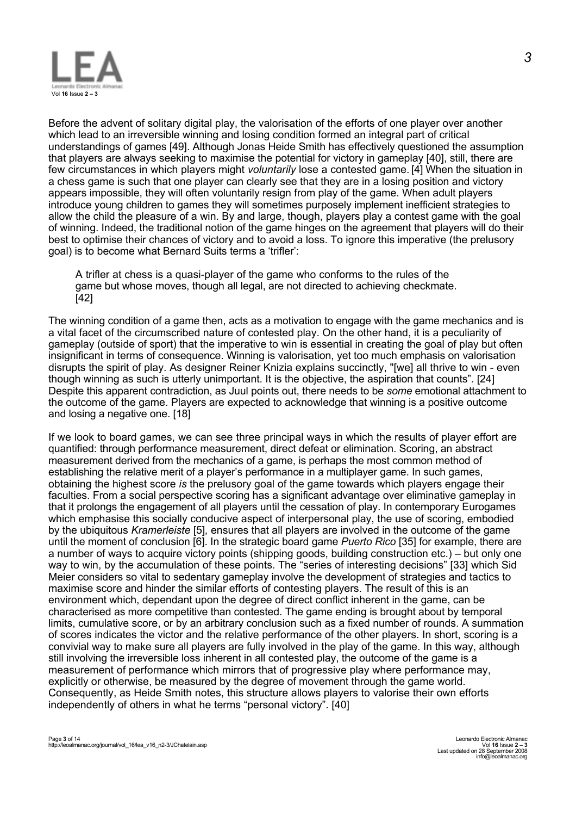

Before the advent of solitary digital play, the valorisation of the efforts of one player over another which lead to an irreversible winning and losing condition formed an integral part of critical understandings of games [49]. Although Jonas Heide Smith has effectively questioned the assumption that players are always seeking to maximise the potential for victory in gameplay [40], still, there are few circumstances in which players might *voluntarily* lose a contested game. [4] When the situation in a chess game is such that one player can clearly see that they are in a losing position and victory appears impossible, they will often voluntarily resign from play of the game. When adult players introduce young children to games they will sometimes purposely implement inefficient strategies to allow the child the pleasure of a win. By and large, though, players play a contest game with the goal of winning. Indeed, the traditional notion of the game hinges on the agreement that players will do their best to optimise their chances of victory and to avoid a loss. To ignore this imperative (the prelusory goal) is to become what Bernard Suits terms a 'trifler':

A trifler at chess is a quasi-player of the game who conforms to the rules of the game but whose moves, though all legal, are not directed to achieving checkmate. [42]

The winning condition of a game then, acts as a motivation to engage with the game mechanics and is a vital facet of the circumscribed nature of contested play. On the other hand, it is a peculiarity of gameplay (outside of sport) that the imperative to win is essential in creating the goal of play but often insignificant in terms of consequence. Winning is valorisation, yet too much emphasis on valorisation disrupts the spirit of play. As designer Reiner Knizia explains succinctly, "[we] all thrive to win - even though winning as such is utterly unimportant. It is the objective, the aspiration that counts". [24] Despite this apparent contradiction, as Juul points out, there needs to be *some* emotional attachment to the outcome of the game. Players are expected to acknowledge that winning is a positive outcome and losing a negative one. [18]

If we look to board games, we can see three principal ways in which the results of player effort are quantified: through performance measurement, direct defeat or elimination. Scoring, an abstract measurement derived from the mechanics of a game, is perhaps the most common method of establishing the relative merit of a player's performance in a multiplayer game. In such games, obtaining the highest score *is* the prelusory goal of the game towards which players engage their faculties. From a social perspective scoring has a significant advantage over eliminative gameplay in that it prolongs the engagement of all players until the cessation of play. In contemporary Eurogames which emphasise this socially conducive aspect of interpersonal play, the use of scoring, embodied by the ubiquitous *Kramerleiste* [5]*,* ensures that all players are involved in the outcome of the game until the moment of conclusion [6]. In the strategic board game *Puerto Rico* [35] for example, there are a number of ways to acquire victory points (shipping goods, building construction etc.) – but only one way to win, by the accumulation of these points. The "series of interesting decisions" [33] which Sid Meier considers so vital to sedentary gameplay involve the development of strategies and tactics to maximise score and hinder the similar efforts of contesting players. The result of this is an environment which, dependant upon the degree of direct conflict inherent in the game, can be characterised as more competitive than contested. The game ending is brought about by temporal limits, cumulative score, or by an arbitrary conclusion such as a fixed number of rounds. A summation of scores indicates the victor and the relative performance of the other players. In short, scoring is a convivial way to make sure all players are fully involved in the play of the game. In this way, although still involving the irreversible loss inherent in all contested play, the outcome of the game is a measurement of performance which mirrors that of progressive play where performance may, explicitly or otherwise, be measured by the degree of movement through the game world. Consequently, as Heide Smith notes, this structure allows players to valorise their own efforts independently of others in what he terms "personal victory". [40]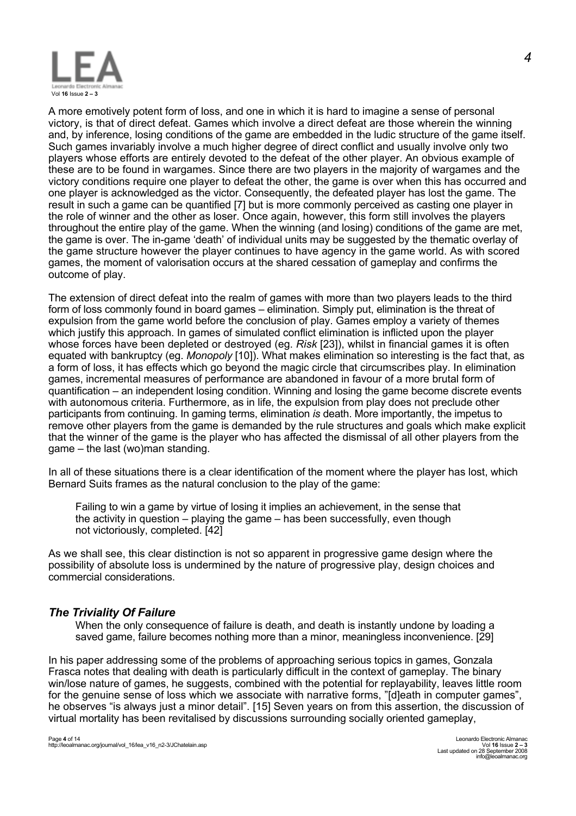

A more emotively potent form of loss, and one in which it is hard to imagine a sense of personal victory, is that of direct defeat. Games which involve a direct defeat are those wherein the winning and, by inference, losing conditions of the game are embedded in the ludic structure of the game itself. Such games invariably involve a much higher degree of direct conflict and usually involve only two players whose efforts are entirely devoted to the defeat of the other player. An obvious example of these are to be found in wargames. Since there are two players in the majority of wargames and the victory conditions require one player to defeat the other, the game is over when this has occurred and one player is acknowledged as the victor. Consequently, the defeated player has lost the game. The result in such a game can be quantified [7] but is more commonly perceived as casting one player in the role of winner and the other as loser. Once again, however, this form still involves the players throughout the entire play of the game. When the winning (and losing) conditions of the game are met, the game is over. The in-game 'death' of individual units may be suggested by the thematic overlay of the game structure however the player continues to have agency in the game world. As with scored games, the moment of valorisation occurs at the shared cessation of gameplay and confirms the outcome of play.

The extension of direct defeat into the realm of games with more than two players leads to the third form of loss commonly found in board games – elimination. Simply put, elimination is the threat of expulsion from the game world before the conclusion of play. Games employ a variety of themes which justify this approach. In games of simulated conflict elimination is inflicted upon the player whose forces have been depleted or destroyed (eg. *Risk* [23]), whilst in financial games it is often equated with bankruptcy (eg. *Monopoly* [10]). What makes elimination so interesting is the fact that, as a form of loss, it has effects which go beyond the magic circle that circumscribes play. In elimination games, incremental measures of performance are abandoned in favour of a more brutal form of quantification – an independent losing condition. Winning and losing the game become discrete events with autonomous criteria. Furthermore, as in life, the expulsion from play does not preclude other participants from continuing. In gaming terms, elimination *is* death. More importantly, the impetus to remove other players from the game is demanded by the rule structures and goals which make explicit that the winner of the game is the player who has affected the dismissal of all other players from the game – the last (wo)man standing.

In all of these situations there is a clear identification of the moment where the player has lost, which Bernard Suits frames as the natural conclusion to the play of the game:

Failing to win a game by virtue of losing it implies an achievement, in the sense that the activity in question – playing the game – has been successfully, even though not victoriously, completed. [42]

As we shall see, this clear distinction is not so apparent in progressive game design where the possibility of absolute loss is undermined by the nature of progressive play, design choices and commercial considerations.

# *The Triviality Of Failure*

When the only consequence of failure is death, and death is instantly undone by loading a saved game, failure becomes nothing more than a minor, meaningless inconvenience. [29]

In his paper addressing some of the problems of approaching serious topics in games, Gonzala Frasca notes that dealing with death is particularly difficult in the context of gameplay. The binary win/lose nature of games, he suggests, combined with the potential for replayability, leaves little room for the genuine sense of loss which we associate with narrative forms, "[d]eath in computer games", he observes "is always just a minor detail". [15] Seven years on from this assertion, the discussion of virtual mortality has been revitalised by discussions surrounding socially oriented gameplay,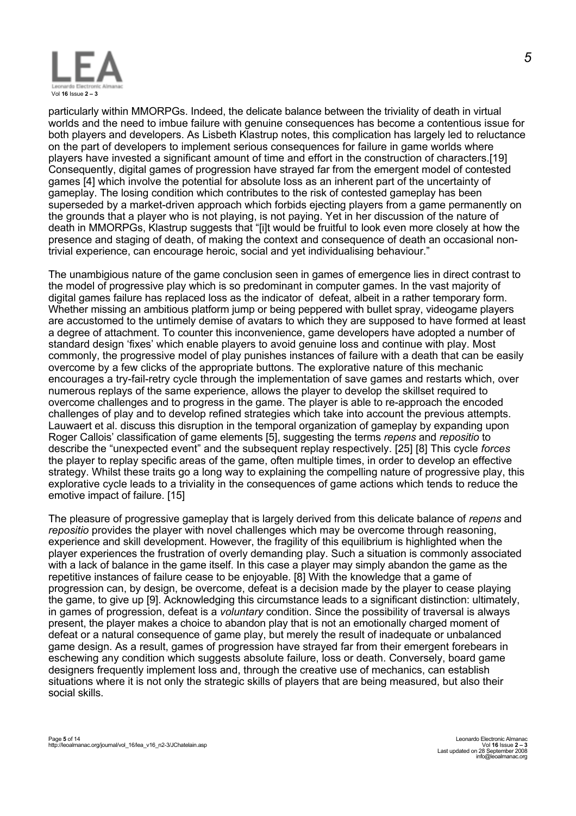

particularly within MMORPGs. Indeed, the delicate balance between the triviality of death in virtual worlds and the need to imbue failure with genuine consequences has become a contentious issue for both players and developers. As Lisbeth Klastrup notes, this complication has largely led to reluctance on the part of developers to implement serious consequences for failure in game worlds where players have invested a significant amount of time and effort in the construction of characters.[19] Consequently, digital games of progression have strayed far from the emergent model of contested games [4] which involve the potential for absolute loss as an inherent part of the uncertainty of gameplay. The losing condition which contributes to the risk of contested gameplay has been superseded by a market-driven approach which forbids ejecting players from a game permanently on the grounds that a player who is not playing, is not paying. Yet in her discussion of the nature of death in MMORPGs, Klastrup suggests that "[i]t would be fruitful to look even more closely at how the presence and staging of death, of making the context and consequence of death an occasional nontrivial experience, can encourage heroic, social and yet individualising behaviour."

The unambigious nature of the game conclusion seen in games of emergence lies in direct contrast to the model of progressive play which is so predominant in computer games. In the vast majority of digital games failure has replaced loss as the indicator of defeat, albeit in a rather temporary form. Whether missing an ambitious platform jump or being peppered with bullet spray, videogame players are accustomed to the untimely demise of avatars to which they are supposed to have formed at least a degree of attachment. To counter this inconvenience, game developers have adopted a number of standard design 'fixes' which enable players to avoid genuine loss and continue with play. Most commonly, the progressive model of play punishes instances of failure with a death that can be easily overcome by a few clicks of the appropriate buttons. The explorative nature of this mechanic encourages a try-fail-retry cycle through the implementation of save games and restarts which, over numerous replays of the same experience, allows the player to develop the skillset required to overcome challenges and to progress in the game. The player is able to re-approach the encoded challenges of play and to develop refined strategies which take into account the previous attempts. Lauwaert et al. discuss this disruption in the temporal organization of gameplay by expanding upon Roger Callois' classification of game elements [5], suggesting the terms *repens* and *repositio* to describe the "unexpected event" and the subsequent replay respectively. [25] [8] This cycle *forces* the player to replay specific areas of the game, often multiple times, in order to develop an effective strategy. Whilst these traits go a long way to explaining the compelling nature of progressive play, this explorative cycle leads to a triviality in the consequences of game actions which tends to reduce the emotive impact of failure. [15]

The pleasure of progressive gameplay that is largely derived from this delicate balance of *repens* and *repositio* provides the player with novel challenges which may be overcome through reasoning, experience and skill development. However, the fragility of this equilibrium is highlighted when the player experiences the frustration of overly demanding play. Such a situation is commonly associated with a lack of balance in the game itself. In this case a player may simply abandon the game as the repetitive instances of failure cease to be enjoyable. [8] With the knowledge that a game of progression can, by design, be overcome, defeat is a decision made by the player to cease playing the game, to give up [9]. Acknowledging this circumstance leads to a significant distinction: ultimately, in games of progression, defeat is a *voluntary* condition. Since the possibility of traversal is always present, the player makes a choice to abandon play that is not an emotionally charged moment of defeat or a natural consequence of game play, but merely the result of inadequate or unbalanced game design. As a result, games of progression have strayed far from their emergent forebears in eschewing any condition which suggests absolute failure, loss or death. Conversely, board game designers frequently implement loss and, through the creative use of mechanics, can establish situations where it is not only the strategic skills of players that are being measured, but also their social skills.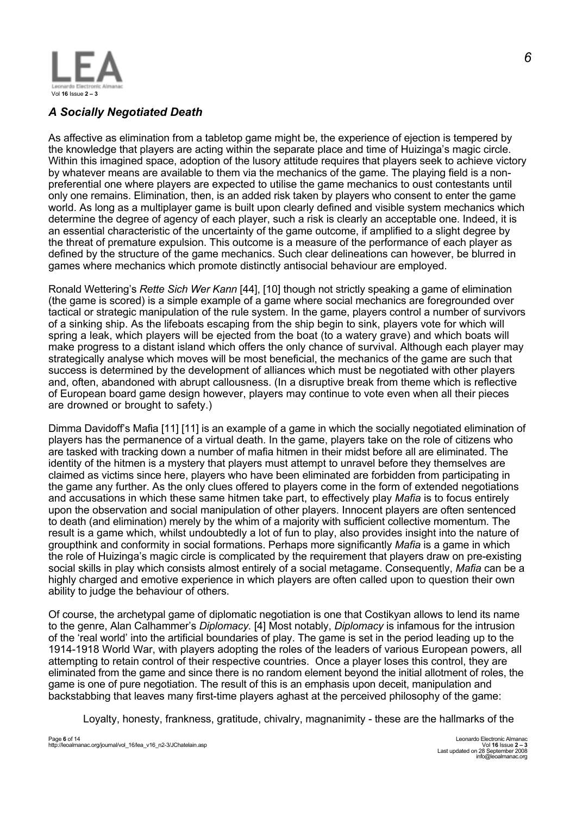

# *A Socially Negotiated Death*

As affective as elimination from a tabletop game might be, the experience of ejection is tempered by the knowledge that players are acting within the separate place and time of Huizinga's magic circle. Within this imagined space, adoption of the lusory attitude requires that players seek to achieve victory by whatever means are available to them via the mechanics of the game. The playing field is a nonpreferential one where players are expected to utilise the game mechanics to oust contestants until only one remains. Elimination, then, is an added risk taken by players who consent to enter the game world. As long as a multiplayer game is built upon clearly defined and visible system mechanics which determine the degree of agency of each player, such a risk is clearly an acceptable one. Indeed, it is an essential characteristic of the uncertainty of the game outcome, if amplified to a slight degree by the threat of premature expulsion. This outcome is a measure of the performance of each player as defined by the structure of the game mechanics. Such clear delineations can however, be blurred in games where mechanics which promote distinctly antisocial behaviour are employed.

Ronald Wettering's *Rette Sich Wer Kann* [44], [10] though not strictly speaking a game of elimination (the game is scored) is a simple example of a game where social mechanics are foregrounded over tactical or strategic manipulation of the rule system. In the game, players control a number of survivors of a sinking ship. As the lifeboats escaping from the ship begin to sink, players vote for which will spring a leak, which players will be ejected from the boat (to a watery grave) and which boats will make progress to a distant island which offers the only chance of survival. Although each player may strategically analyse which moves will be most beneficial, the mechanics of the game are such that success is determined by the development of alliances which must be negotiated with other players and, often, abandoned with abrupt callousness. (In a disruptive break from theme which is reflective of European board game design however, players may continue to vote even when all their pieces are drowned or brought to safety.)

Dimma Davidoff's Mafia [11] [11] is an example of a game in which the socially negotiated elimination of players has the permanence of a virtual death. In the game, players take on the role of citizens who are tasked with tracking down a number of mafia hitmen in their midst before all are eliminated. The identity of the hitmen is a mystery that players must attempt to unravel before they themselves are claimed as victims since here, players who have been eliminated are forbidden from participating in the game any further. As the only clues offered to players come in the form of extended negotiations and accusations in which these same hitmen take part, to effectively play *Mafia* is to focus entirely upon the observation and social manipulation of other players. Innocent players are often sentenced to death (and elimination) merely by the whim of a majority with sufficient collective momentum. The result is a game which, whilst undoubtedly a lot of fun to play, also provides insight into the nature of groupthink and conformity in social formations. Perhaps more significantly *Mafia* is a game in which the role of Huizinga's magic circle is complicated by the requirement that players draw on pre-existing social skills in play which consists almost entirely of a social metagame. Consequently, *Mafia* can be a highly charged and emotive experience in which players are often called upon to question their own ability to judge the behaviour of others.

Of course, the archetypal game of diplomatic negotiation is one that Costikyan allows to lend its name to the genre, Alan Calhammer's *Diplomacy.* [4] Most notably, *Diplomacy* is infamous for the intrusion of the 'real world' into the artificial boundaries of play. The game is set in the period leading up to the 1914-1918 World War, with players adopting the roles of the leaders of various European powers, all attempting to retain control of their respective countries. Once a player loses this control, they are eliminated from the game and since there is no random element beyond the initial allotment of roles, the game is one of pure negotiation. The result of this is an emphasis upon deceit, manipulation and backstabbing that leaves many first-time players aghast at the perceived philosophy of the game:

Loyalty, honesty, frankness, gratitude, chivalry, magnanimity - these are the hallmarks of the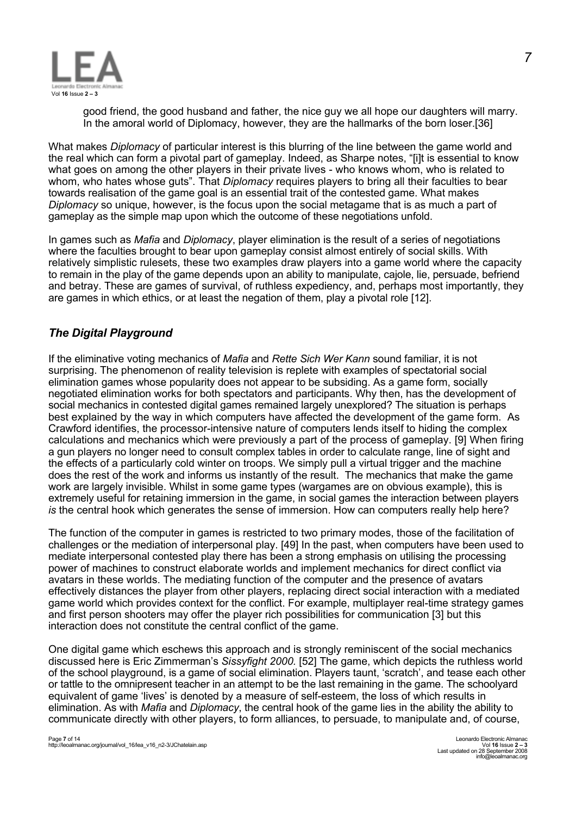

good friend, the good husband and father, the nice guy we all hope our daughters will marry. In the amoral world of Diplomacy, however, they are the hallmarks of the born loser.[36]

What makes *Diplomacy* of particular interest is this blurring of the line between the game world and the real which can form a pivotal part of gameplay. Indeed, as Sharpe notes, "[i]t is essential to know what goes on among the other players in their private lives - who knows whom, who is related to whom, who hates whose guts". That *Diplomacy* requires players to bring all their faculties to bear towards realisation of the game goal is an essential trait of the contested game. What makes *Diplomacy* so unique, however, is the focus upon the social metagame that is as much a part of gameplay as the simple map upon which the outcome of these negotiations unfold.

In games such as *Mafia* and *Diplomacy*, player elimination is the result of a series of negotiations where the faculties brought to bear upon gameplay consist almost entirely of social skills. With relatively simplistic rulesets, these two examples draw players into a game world where the capacity to remain in the play of the game depends upon an ability to manipulate, cajole, lie, persuade, befriend and betray. These are games of survival, of ruthless expediency, and, perhaps most importantly, they are games in which ethics, or at least the negation of them, play a pivotal role [12].

# *The Digital Playground*

If the eliminative voting mechanics of *Mafia* and *Rette Sich Wer Kann* sound familiar, it is not surprising. The phenomenon of reality television is replete with examples of spectatorial social elimination games whose popularity does not appear to be subsiding. As a game form, socially negotiated elimination works for both spectators and participants. Why then, has the development of social mechanics in contested digital games remained largely unexplored? The situation is perhaps best explained by the way in which computers have affected the development of the game form. As Crawford identifies, the processor-intensive nature of computers lends itself to hiding the complex calculations and mechanics which were previously a part of the process of gameplay. [9] When firing a gun players no longer need to consult complex tables in order to calculate range, line of sight and the effects of a particularly cold winter on troops. We simply pull a virtual trigger and the machine does the rest of the work and informs us instantly of the result. The mechanics that make the game work are largely invisible. Whilst in some game types (wargames are on obvious example), this is extremely useful for retaining immersion in the game, in social games the interaction between players *is* the central hook which generates the sense of immersion. How can computers really help here?

The function of the computer in games is restricted to two primary modes, those of the facilitation of challenges or the mediation of interpersonal play. [49] In the past, when computers have been used to mediate interpersonal contested play there has been a strong emphasis on utilising the processing power of machines to construct elaborate worlds and implement mechanics for direct conflict via avatars in these worlds. The mediating function of the computer and the presence of avatars effectively distances the player from other players, replacing direct social interaction with a mediated game world which provides context for the conflict. For example, multiplayer real-time strategy games and first person shooters may offer the player rich possibilities for communication [3] but this interaction does not constitute the central conflict of the game.

One digital game which eschews this approach and is strongly reminiscent of the social mechanics discussed here is Eric Zimmerman's *Sissyfight 2000.* [52] The game, which depicts the ruthless world of the school playground, is a game of social elimination. Players taunt, 'scratch', and tease each other or tattle to the omnipresent teacher in an attempt to be the last remaining in the game. The schoolyard equivalent of game 'lives' is denoted by a measure of self-esteem, the loss of which results in elimination. As with *Mafia* and *Diplomacy*, the central hook of the game lies in the ability the ability to communicate directly with other players, to form alliances, to persuade, to manipulate and, of course,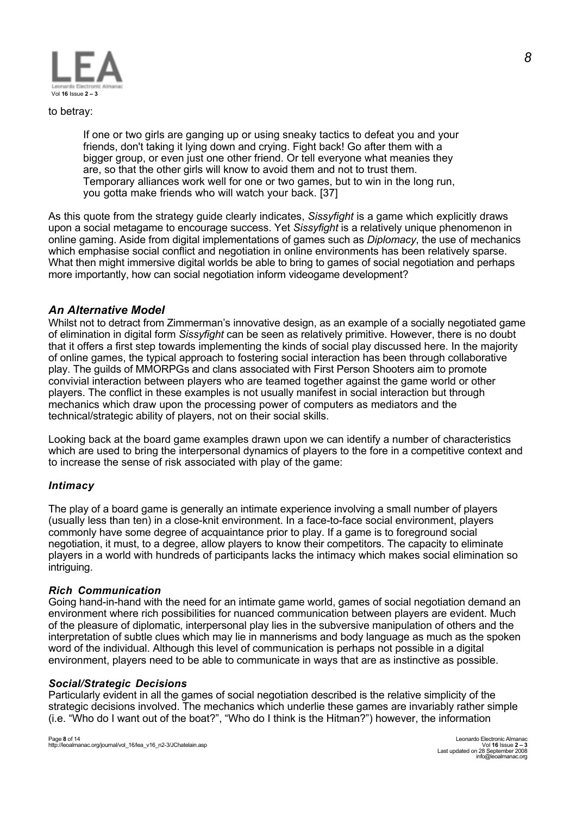

to betray:

If one or two girls are ganging up or using sneaky tactics to defeat you and your friends, don't taking it lying down and crying. Fight back! Go after them with a bigger group, or even just one other friend. Or tell everyone what meanies they are, so that the other girls will know to avoid them and not to trust them. Temporary alliances work well for one or two games, but to win in the long run, you gotta make friends who will watch your back. [37]

As this quote from the strategy guide clearly indicates, *Sissyfight* is a game which explicitly draws upon a social metagame to encourage success. Yet *Sissyfight* is a relatively unique phenomenon in online gaming. Aside from digital implementations of games such as *Diplomacy*, the use of mechanics which emphasise social conflict and negotiation in online environments has been relatively sparse. What then might immersive digital worlds be able to bring to games of social negotiation and perhaps more importantly, how can social negotiation inform videogame development?

### *An Alternative Model*

Whilst not to detract from Zimmerman's innovative design, as an example of a socially negotiated game of elimination in digital form *Sissyfight* can be seen as relatively primitive. However, there is no doubt that it offers a first step towards implementing the kinds of social play discussed here. In the majority of online games, the typical approach to fostering social interaction has been through collaborative play. The guilds of MMORPGs and clans associated with First Person Shooters aim to promote convivial interaction between players who are teamed together against the game world or other players. The conflict in these examples is not usually manifest in social interaction but through mechanics which draw upon the processing power of computers as mediators and the technical/strategic ability of players, not on their social skills.

Looking back at the board game examples drawn upon we can identify a number of characteristics which are used to bring the interpersonal dynamics of players to the fore in a competitive context and to increase the sense of risk associated with play of the game:

#### *Intimacy*

The play of a board game is generally an intimate experience involving a small number of players (usually less than ten) in a close-knit environment. In a face-to-face social environment, players commonly have some degree of acquaintance prior to play. If a game is to foreground social negotiation, it must, to a degree, allow players to know their competitors. The capacity to eliminate players in a world with hundreds of participants lacks the intimacy which makes social elimination so intriguing.

#### *Rich Communication*

Going hand-in-hand with the need for an intimate game world, games of social negotiation demand an environment where rich possibilities for nuanced communication between players are evident. Much of the pleasure of diplomatic, interpersonal play lies in the subversive manipulation of others and the interpretation of subtle clues which may lie in mannerisms and body language as much as the spoken word of the individual. Although this level of communication is perhaps not possible in a digital environment, players need to be able to communicate in ways that are as instinctive as possible.

#### *Social/Strategic Decisions*

Particularly evident in all the games of social negotiation described is the relative simplicity of the strategic decisions involved. The mechanics which underlie these games are invariably rather simple (i.e. "Who do I want out of the boat?", "Who do I think is the Hitman?") however, the information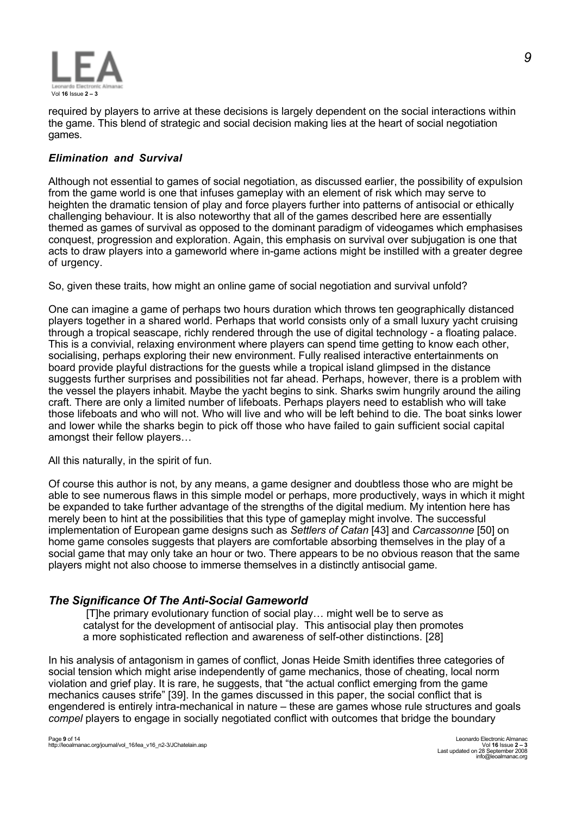

required by players to arrive at these decisions is largely dependent on the social interactions within the game. This blend of strategic and social decision making lies at the heart of social negotiation games.

# *Elimination and Survival*

Although not essential to games of social negotiation, as discussed earlier, the possibility of expulsion from the game world is one that infuses gameplay with an element of risk which may serve to heighten the dramatic tension of play and force players further into patterns of antisocial or ethically challenging behaviour. It is also noteworthy that all of the games described here are essentially themed as games of survival as opposed to the dominant paradigm of videogames which emphasises conquest, progression and exploration. Again, this emphasis on survival over subjugation is one that acts to draw players into a gameworld where in-game actions might be instilled with a greater degree of urgency.

So, given these traits, how might an online game of social negotiation and survival unfold?

One can imagine a game of perhaps two hours duration which throws ten geographically distanced players together in a shared world. Perhaps that world consists only of a small luxury yacht cruising through a tropical seascape, richly rendered through the use of digital technology - a floating palace. This is a convivial, relaxing environment where players can spend time getting to know each other, socialising, perhaps exploring their new environment. Fully realised interactive entertainments on board provide playful distractions for the guests while a tropical island glimpsed in the distance suggests further surprises and possibilities not far ahead. Perhaps, however, there is a problem with the vessel the players inhabit. Maybe the yacht begins to sink. Sharks swim hungrily around the ailing craft. There are only a limited number of lifeboats. Perhaps players need to establish who will take those lifeboats and who will not. Who will live and who will be left behind to die. The boat sinks lower and lower while the sharks begin to pick off those who have failed to gain sufficient social capital amongst their fellow players…

All this naturally, in the spirit of fun.

Of course this author is not, by any means, a game designer and doubtless those who are might be able to see numerous flaws in this simple model or perhaps, more productively, ways in which it might be expanded to take further advantage of the strengths of the digital medium. My intention here has merely been to hint at the possibilities that this type of gameplay might involve. The successful implementation of European game designs such as *Settlers of Catan* [43] and *Carcassonne* [50] on home game consoles suggests that players are comfortable absorbing themselves in the play of a social game that may only take an hour or two. There appears to be no obvious reason that the same players might not also choose to immerse themselves in a distinctly antisocial game.

# *The Significance Of The Anti-Social Gameworld*

 [T]he primary evolutionary function of social play… might well be to serve as catalyst for the development of antisocial play. This antisocial play then promotes a more sophisticated reflection and awareness of self-other distinctions. [28]

In his analysis of antagonism in games of conflict, Jonas Heide Smith identifies three categories of social tension which might arise independently of game mechanics, those of cheating, local norm violation and grief play. It is rare, he suggests, that "the actual conflict emerging from the game mechanics causes strife" [39]. In the games discussed in this paper, the social conflict that is engendered is entirely intra-mechanical in nature – these are games whose rule structures and goals *compel* players to engage in socially negotiated conflict with outcomes that bridge the boundary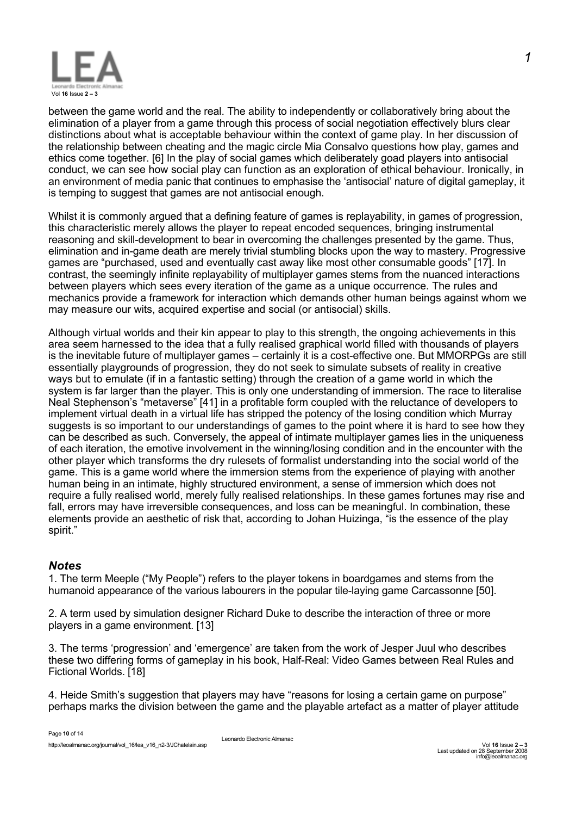

between the game world and the real. The ability to independently or collaboratively bring about the elimination of a player from a game through this process of social negotiation effectively blurs clear distinctions about what is acceptable behaviour within the context of game play. In her discussion of the relationship between cheating and the magic circle Mia Consalvo questions how play, games and ethics come together. [6] In the play of social games which deliberately goad players into antisocial conduct, we can see how social play can function as an exploration of ethical behaviour. Ironically, in an environment of media panic that continues to emphasise the 'antisocial' nature of digital gameplay, it is temping to suggest that games are not antisocial enough.

Whilst it is commonly argued that a defining feature of games is replayability, in games of progression, this characteristic merely allows the player to repeat encoded sequences, bringing instrumental reasoning and skill-development to bear in overcoming the challenges presented by the game. Thus, elimination and in-game death are merely trivial stumbling blocks upon the way to mastery. Progressive games are "purchased, used and eventually cast away like most other consumable goods" [17]. In contrast, the seemingly infinite replayability of multiplayer games stems from the nuanced interactions between players which sees every iteration of the game as a unique occurrence. The rules and mechanics provide a framework for interaction which demands other human beings against whom we may measure our wits, acquired expertise and social (or antisocial) skills.

Although virtual worlds and their kin appear to play to this strength, the ongoing achievements in this area seem harnessed to the idea that a fully realised graphical world filled with thousands of players is the inevitable future of multiplayer games – certainly it is a cost-effective one. But MMORPGs are still essentially playgrounds of progression, they do not seek to simulate subsets of reality in creative ways but to emulate (if in a fantastic setting) through the creation of a game world in which the system is far larger than the player. This is only one understanding of immersion. The race to literalise Neal Stephenson's "metaverse" [41] in a profitable form coupled with the reluctance of developers to implement virtual death in a virtual life has stripped the potency of the losing condition which Murray suggests is so important to our understandings of games to the point where it is hard to see how they can be described as such. Conversely, the appeal of intimate multiplayer games lies in the uniqueness of each iteration, the emotive involvement in the winning/losing condition and in the encounter with the other player which transforms the dry rulesets of formalist understanding into the social world of the game. This is a game world where the immersion stems from the experience of playing with another human being in an intimate, highly structured environment, a sense of immersion which does not require a fully realised world, merely fully realised relationships. In these games fortunes may rise and fall, errors may have irreversible consequences, and loss can be meaningful. In combination, these elements provide an aesthetic of risk that, according to Johan Huizinga, "is the essence of the play spirit."

# *Notes*

1. The term Meeple ("My People") refers to the player tokens in boardgames and stems from the humanoid appearance of the various labourers in the popular tile-laying game Carcassonne [50].

2. A term used by simulation designer Richard Duke to describe the interaction of three or more players in a game environment. [13]

3. The terms 'progression' and 'emergence' are taken from the work of Jesper Juul who describes these two differing forms of gameplay in his book, Half-Real: Video Games between Real Rules and Fictional Worlds. [18]

4. Heide Smith's suggestion that players may have "reasons for losing a certain game on purpose" perhaps marks the division between the game and the playable artefact as a matter of player attitude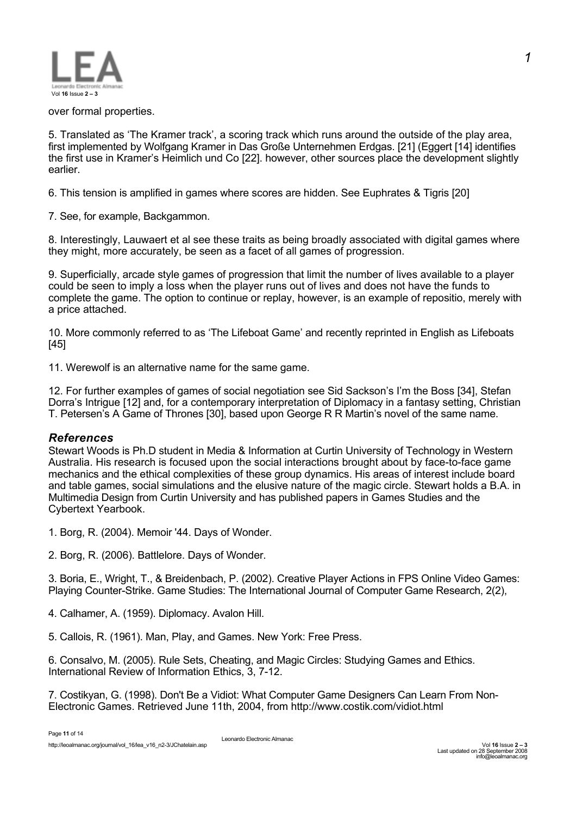

#### over formal properties.

5. Translated as 'The Kramer track', a scoring track which runs around the outside of the play area, first implemented by Wolfgang Kramer in Das Große Unternehmen Erdgas. [21] (Eggert [14] identifies the first use in Kramer's Heimlich und Co [22]. however, other sources place the development slightly earlier.

6. This tension is amplified in games where scores are hidden. See Euphrates & Tigris [20]

7. See, for example, Backgammon.

8. Interestingly, Lauwaert et al see these traits as being broadly associated with digital games where they might, more accurately, be seen as a facet of all games of progression.

9. Superficially, arcade style games of progression that limit the number of lives available to a player could be seen to imply a loss when the player runs out of lives and does not have the funds to complete the game. The option to continue or replay, however, is an example of repositio, merely with a price attached.

10. More commonly referred to as 'The Lifeboat Game' and recently reprinted in English as Lifeboats [45]

11. Werewolf is an alternative name for the same game.

12. For further examples of games of social negotiation see Sid Sackson's I'm the Boss [34], Stefan Dorra's Intrigue [12] and, for a contemporary interpretation of Diplomacy in a fantasy setting, Christian T. Petersen's A Game of Thrones [30], based upon George R R Martin's novel of the same name.

# *References*

Stewart Woods is Ph.D student in Media & Information at Curtin University of Technology in Western Australia. His research is focused upon the social interactions brought about by face-to-face game mechanics and the ethical complexities of these group dynamics. His areas of interest include board and table games, social simulations and the elusive nature of the magic circle. Stewart holds a B.A. in Multimedia Design from Curtin University and has published papers in Games Studies and the Cybertext Yearbook.

1. Borg, R. (2004). Memoir '44. Days of Wonder.

2. Borg, R. (2006). Battlelore. Days of Wonder.

3. Boria, E., Wright, T., & Breidenbach, P. (2002). Creative Player Actions in FPS Online Video Games: Playing Counter-Strike. Game Studies: The International Journal of Computer Game Research, 2(2),

4. Calhamer, A. (1959). Diplomacy. Avalon Hill.

5. Callois, R. (1961). Man, Play, and Games. New York: Free Press.

6. Consalvo, M. (2005). Rule Sets, Cheating, and Magic Circles: Studying Games and Ethics. International Review of Information Ethics, 3, 7-12.

7. Costikyan, G. (1998). Don't Be a Vidiot: What Computer Game Designers Can Learn From Non-Electronic Games. Retrieved June 11th, 2004, from http://www.costik.com/vidiot.html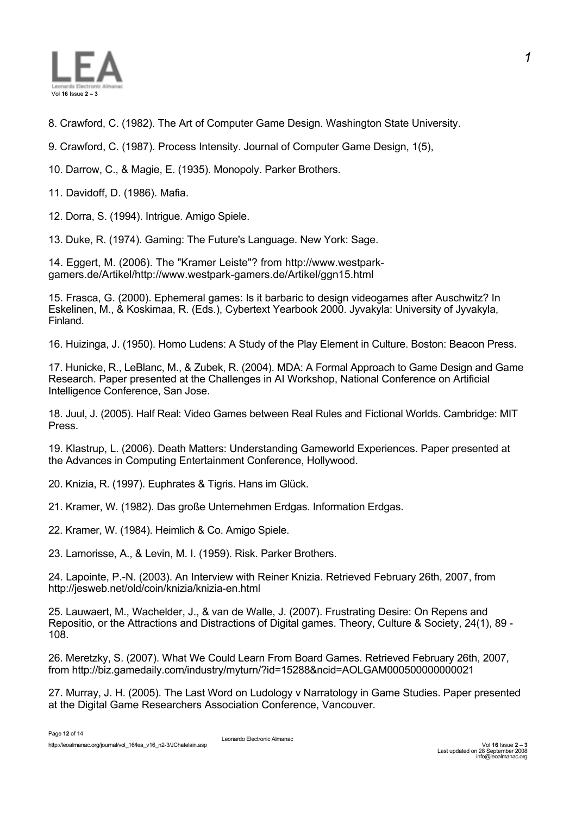

- 8. Crawford, C. (1982). The Art of Computer Game Design. Washington State University.
- 9. Crawford, C. (1987). Process Intensity. Journal of Computer Game Design, 1(5),
- 10. Darrow, C., & Magie, E. (1935). Monopoly. Parker Brothers.
- 11. Davidoff, D. (1986). Mafia.
- 12. Dorra, S. (1994). Intrigue. Amigo Spiele.
- 13. Duke, R. (1974). Gaming: The Future's Language. New York: Sage.

14. Eggert, M. (2006). The "Kramer Leiste"? from http://www.westparkgamers.de/Artikel/http://www.westpark-gamers.de/Artikel/ggn15.html

15. Frasca, G. (2000). Ephemeral games: Is it barbaric to design videogames after Auschwitz? In Eskelinen, M., & Koskimaa, R. (Eds.), Cybertext Yearbook 2000. Jyvakyla: University of Jyvakyla, Finland.

16. Huizinga, J. (1950). Homo Ludens: A Study of the Play Element in Culture. Boston: Beacon Press.

17. Hunicke, R., LeBlanc, M., & Zubek, R. (2004). MDA: A Formal Approach to Game Design and Game Research. Paper presented at the Challenges in AI Workshop, National Conference on Artificial Intelligence Conference, San Jose.

18. Juul, J. (2005). Half Real: Video Games between Real Rules and Fictional Worlds. Cambridge: MIT Press.

19. Klastrup, L. (2006). Death Matters: Understanding Gameworld Experiences. Paper presented at the Advances in Computing Entertainment Conference, Hollywood.

- 20. Knizia, R. (1997). Euphrates & Tigris. Hans im Glück.
- 21. Kramer, W. (1982). Das große Unternehmen Erdgas. Information Erdgas.
- 22. Kramer, W. (1984). Heimlich & Co. Amigo Spiele.
- 23. Lamorisse, A., & Levin, M. I. (1959). Risk. Parker Brothers.

24. Lapointe, P.-N. (2003). An Interview with Reiner Knizia. Retrieved February 26th, 2007, from http://jesweb.net/old/coin/knizia/knizia-en.html

25. Lauwaert, M., Wachelder, J., & van de Walle, J. (2007). Frustrating Desire: On Repens and Repositio, or the Attractions and Distractions of Digital games. Theory, Culture & Society, 24(1), 89 - 108.

26. Meretzky, S. (2007). What We Could Learn From Board Games. Retrieved February 26th, 2007, from http://biz.gamedaily.com/industry/myturn/?id=15288&ncid=AOLGAM000500000000021

27. Murray, J. H. (2005). The Last Word on Ludology v Narratology in Game Studies. Paper presented at the Digital Game Researchers Association Conference, Vancouver.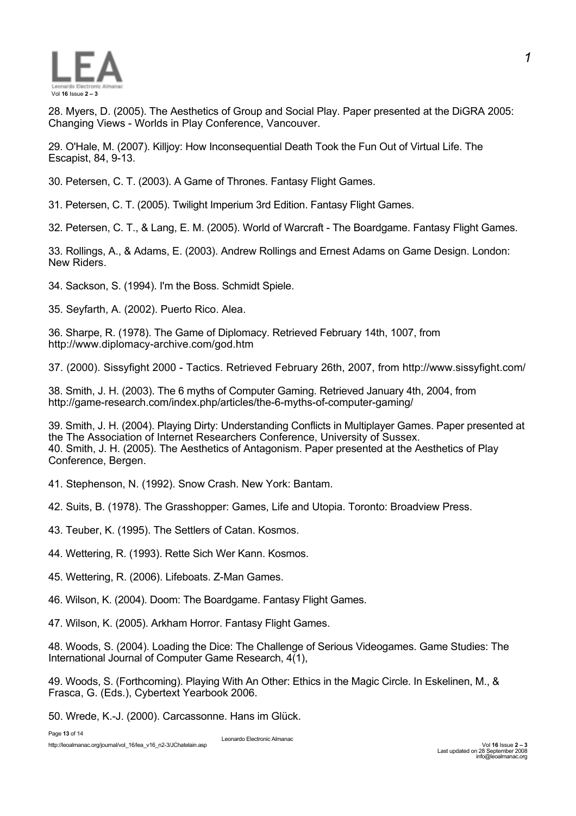

28. Myers, D. (2005). The Aesthetics of Group and Social Play. Paper presented at the DiGRA 2005: Changing Views - Worlds in Play Conference, Vancouver.

29. O'Hale, M. (2007). Killjoy: How Inconsequential Death Took the Fun Out of Virtual Life. The Escapist, 84, 9-13.

30. Petersen, C. T. (2003). A Game of Thrones. Fantasy Flight Games.

31. Petersen, C. T. (2005). Twilight Imperium 3rd Edition. Fantasy Flight Games.

32. Petersen, C. T., & Lang, E. M. (2005). World of Warcraft - The Boardgame. Fantasy Flight Games.

33. Rollings, A., & Adams, E. (2003). Andrew Rollings and Ernest Adams on Game Design. London: New Riders.

34. Sackson, S. (1994). I'm the Boss. Schmidt Spiele.

35. Seyfarth, A. (2002). Puerto Rico. Alea.

36. Sharpe, R. (1978). The Game of Diplomacy. Retrieved February 14th, 1007, from http://www.diplomacy-archive.com/god.htm

37. (2000). Sissyfight 2000 - Tactics. Retrieved February 26th, 2007, from http://www.sissyfight.com/

38. Smith, J. H. (2003). The 6 myths of Computer Gaming. Retrieved January 4th, 2004, from http://game-research.com/index.php/articles/the-6-myths-of-computer-gaming/

39. Smith, J. H. (2004). Playing Dirty: Understanding Conflicts in Multiplayer Games. Paper presented at the The Association of Internet Researchers Conference, University of Sussex. 40. Smith, J. H. (2005). The Aesthetics of Antagonism. Paper presented at the Aesthetics of Play Conference, Bergen.

41. Stephenson, N. (1992). Snow Crash. New York: Bantam.

42. Suits, B. (1978). The Grasshopper: Games, Life and Utopia. Toronto: Broadview Press.

43. Teuber, K. (1995). The Settlers of Catan. Kosmos.

44. Wettering, R. (1993). Rette Sich Wer Kann. Kosmos.

45. Wettering, R. (2006). Lifeboats. Z-Man Games.

46. Wilson, K. (2004). Doom: The Boardgame. Fantasy Flight Games.

47. Wilson, K. (2005). Arkham Horror. Fantasy Flight Games.

48. Woods, S. (2004). Loading the Dice: The Challenge of Serious Videogames. Game Studies: The International Journal of Computer Game Research, 4(1),

49. Woods, S. (Forthcoming). Playing With An Other: Ethics in the Magic Circle. In Eskelinen, M., & Frasca, G. (Eds.), Cybertext Yearbook 2006.

50. Wrede, K.-J. (2000). Carcassonne. Hans im Glück.